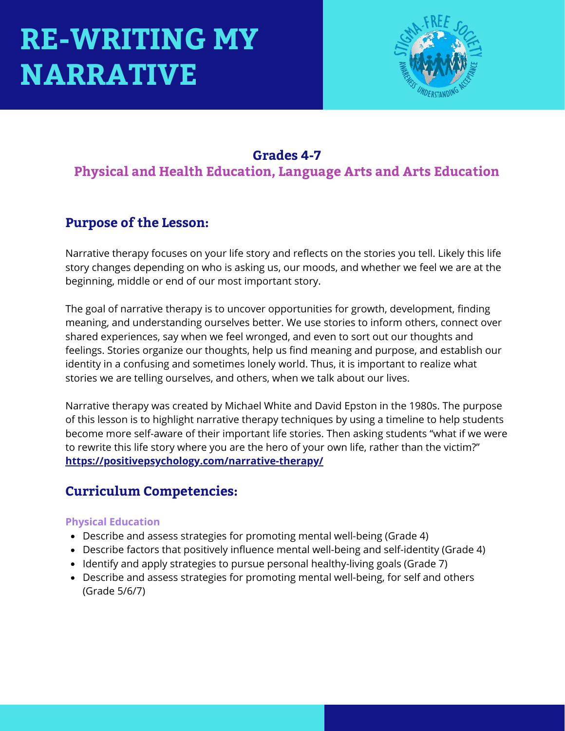

### **Grades 4-7**

**Physical and Health Education, Language Arts and Arts Education**

### **Purpose of the Lesson:**

Narrative therapy focuses on your life story and reflects on the stories you tell. Likely this life story changes depending on who is asking us, our moods, and whether we feel we are at the beginning, middle or end of our most important story.

The goal of narrative therapy is to uncover opportunities for growth, development, finding meaning, and understanding ourselves better. We use stories to inform others, connect over shared experiences, say when we feel wronged, and even to sort out our thoughts and feelings. Stories organize our thoughts, help us find meaning and purpose, and establish our identity in a confusing and sometimes lonely world. Thus, it is important to realize what stories we are telling ourselves, and others, when we talk about our lives.

Narrative therapy was created by Michael White and David Epston in the 1980s. The purpose of this lesson is to highlight narrative therapy techniques by using a timeline to help students become more self-aware of their important life stories. Then asking students "what if we were to rewrite this life story where you are the hero of your own life, rather than the victim?" **<https://positivepsychology.com/narrative-therapy/>**

### **Curriculum Competencies:**

#### **Physical Education**

- Describe and assess strategies for promoting mental well-being (Grade 4)
- Describe factors that positively influence mental well-being and self-identity (Grade 4)
- Identify and apply strategies to pursue personal healthy-living goals (Grade 7)
- Describe and assess strategies for promoting mental well-being, for self and others (Grade 5/6/7)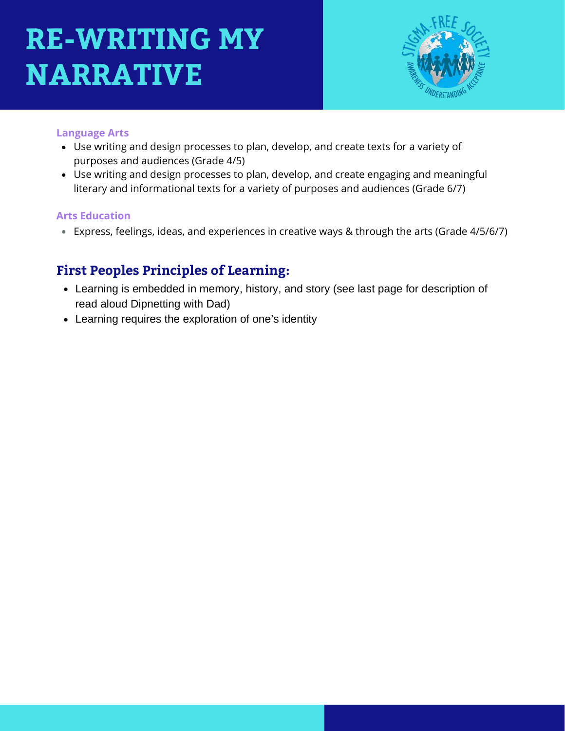

#### **Language Arts**

- Use writing and design processes to plan, develop, and create texts for a variety of purposes and audiences (Grade 4/5)
- Use writing and design processes to plan, develop, and create engaging and meaningful literary and informational texts for a variety of purposes and audiences (Grade 6/7)

#### **Arts Education**

Express, feelings, ideas, and experiences in creative ways & through the arts (Grade 4/5/6/7)

### **First Peoples Principles of Learning:**

- Learning is embedded in memory, history, and story (see last page for description of read aloud Dipnetting with Dad)
- Learning requires the exploration of one's identity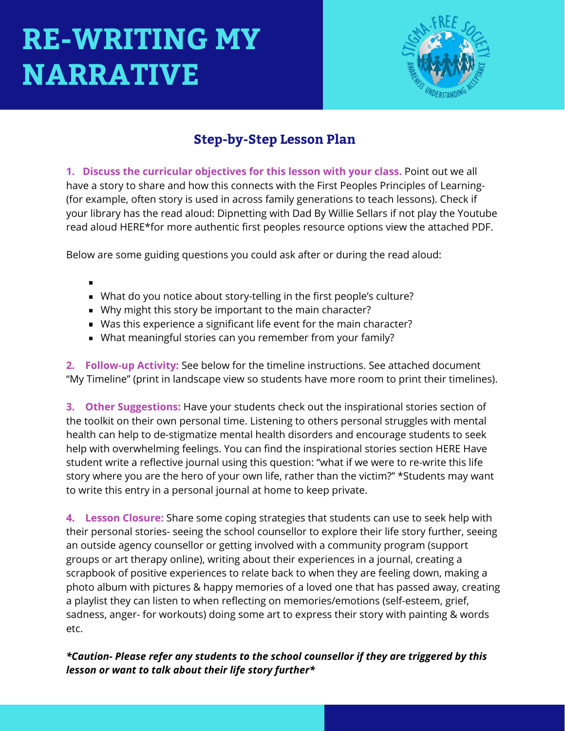

### **Step-by-Step Lesson Plan**

**1. Discuss the curricular objectives for this lesson with your class.** Point out we all have a story to share and how this connects with the First Peoples Principles of Learning- (for example, often story is used in across family generations to teach lessons). Check if your library has the read aloud: Dipnetting with Dad By Willie Sellars if not play the Youtube read aloud HERE\*for more authentic first peoples resource options view the attached PDF.

Below are some guiding questions you could ask after or during the read aloud:

- 
- What do you notice about story-telling in the first people's culture?
- Why might this story be important to the main character?
- Was this experience a significant life event for the main character?
- What meaningful stories can you remember from your family?

**2. Follow-up Activity:** See below for the timeline instructions. See attached document "My Timeline" (print in landscape view so students have more room to print their timelines).

**3. Other Suggestions:** Have your students check out the inspirational stories section of the toolkit on their own personal time. Listening to others personal struggles with mental health can help to de-stigmatize mental health disorders and encourage students to seek help with overwhelming feelings. You can find the inspirational stories section HERE Have student write a reflective journal using this question: "what if we were to re-write this life story where you are the hero of your own life, rather than the victim?" \*Students may want to write this entry in a personal journal at home to keep private.

**4. Lesson Closure:** Share some coping strategies that students can use to seek help with their personal stories- seeing the school counsellor to explore their life story further, seeing an outside agency counsellor or getting involved with a community program (support groups or art therapy online), writing about their experiences in a journal, creating a scrapbook of positive experiences to relate back to when they are feeling down, making a photo album with pictures & happy memories of a loved one that has passed away, creating a playlist they can listen to when reflecting on memories/emotions (self-esteem, grief, sadness, anger- for workouts) doing some art to express their story with painting & words etc.

#### *\*Caution- Please refer any students to the school counsellor if they are triggered by this lesson or want to talk about their life story further\**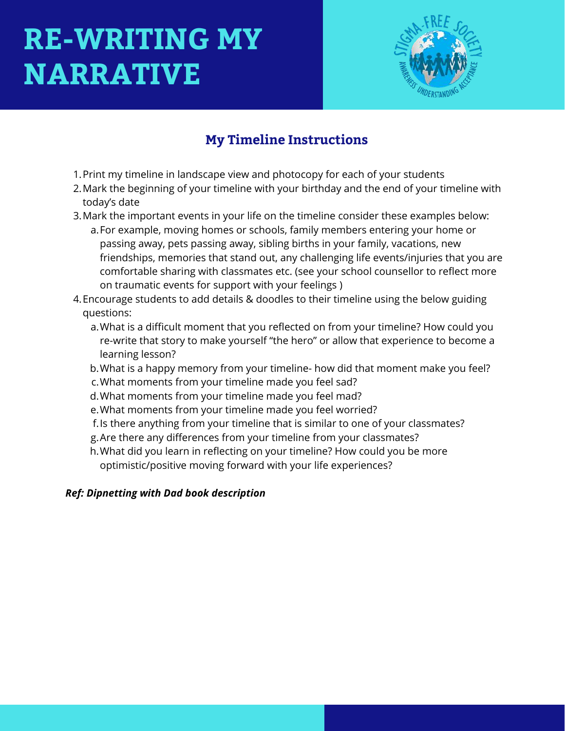

## **My Timeline Instructions**

- 1. Print my timeline in landscape view and photocopy for each of your students
- 2. Mark the beginning of your timeline with your birthday and the end of your timeline with today's date
- Mark the important events in your life on the timeline consider these examples below: 3.
	- a. For example, moving homes or schools, family members entering your home or passing away, pets passing away, sibling births in your family, vacations, new friendships, memories that stand out, any challenging life events/injuries that you are comfortable sharing with classmates etc. (see your school counsellor to reflect more on traumatic events for support with your feelings )
- Encourage students to add details & doodles to their timeline using the below guiding 4. questions:
	- What is a difficult moment that you reflected on from your timeline? How could you a. re-write that story to make yourself "the hero" or allow that experience to become a learning lesson?
	- b. What is a happy memory from your timeline- how did that moment make you feel?
	- What moments from your timeline made you feel sad? c.
	- What moments from your timeline made you feel mad? d.
	- What moments from your timeline made you feel worried? e.
	- f. Is there anything from your timeline that is similar to one of your classmates?
	- Are there any differences from your timeline from your classmates? g.
	- h. What did you learn in reflecting on your timeline? How could you be more optimistic/positive moving forward with your life experiences?

#### *Ref: Dipnetting with Dad book description*